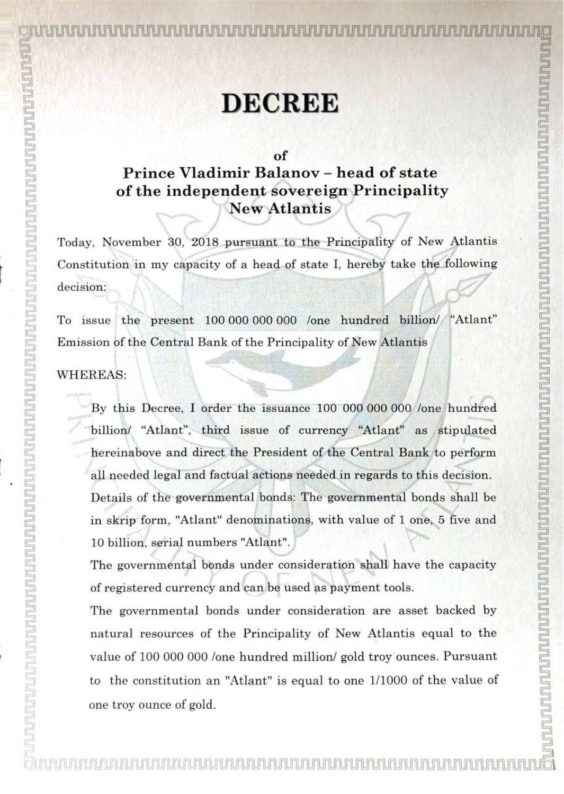-<br>' : it l in later was discussed to the internal warm was discussed to the internal matchester was discussed to<br>The internal matches was discussed to the internal matches of the internal matches in the internal matches in

## **DECREE**

of

## Prince Vladimir Balanov — head of state of the independent sovereign Principality New Atlantis

Today, November 30, 2018 pursuant to the Principality of New Atlantis Constitution in my capacity of a head of state I, hereby take the following decision:

To issue the present 100 000 <sup>000</sup> 000 /one hundred billion/ "Atlant" Emission of the Central Bank of the Principality of New Atlantis

## WHEREAS:

By this Decree, I order the issuance <sup>100</sup> <sup>000</sup> <sup>000</sup> <sup>000</sup> /one hundred billion/ "Atlant", third issue of currency "Atlant" as stipulated hereinabove and direct the President of the Central Bank to perform all needed legal and factual actions needed in regards to this decision. Details of the governmental bonds: The governmental bonds shall be in skrip form, "Atlant" denominations, with value of <sup>1</sup> one, <sup>5</sup> five and 10 billion, serial numbers "Atlant".

The governmental bonds under consideration shall have the capacity of registered currency and can be used as payment tools.

The governmental bonds under consideration are asset backed by natural resources of the Principality of New Atlantis equal to the value of 100 000 <sup>000</sup> /one hundred million/ gold troy ounces. Pursuant to the constitution an "Atlant" is equal to one 1/1000 of the value of one troy ounce of gold.

l,

 $\mathbb{F}$ 

**Analysis** i<br>"C

in H7!

nHUHUHLM UHUHUHUHUHLJ Hm HUHUHU UH HiHLWJHUH IHHH! HUHUHUHUHUH'JHUHUHHH

JUHUHHHUHUHLH JHUHUHUH TiH'iiIt! lUHUI

UI[LmLJ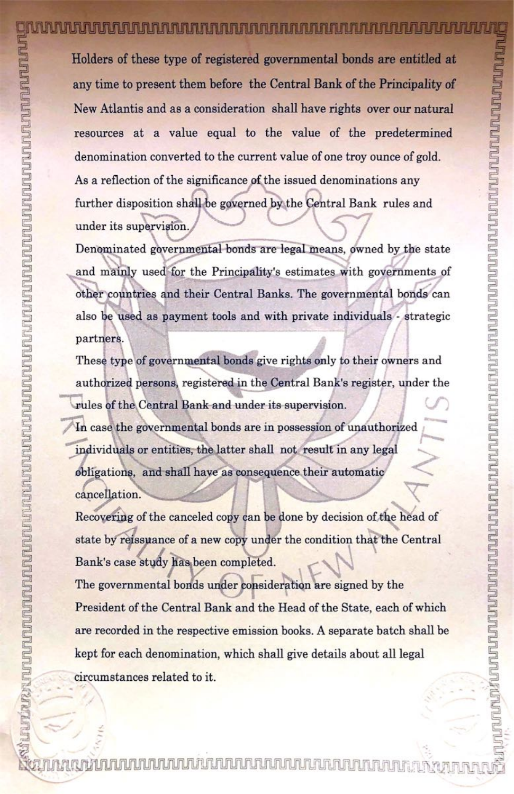Holders of these type of registered governmental bonds are entitled at any time to present them before the Central Bank of the Principality of New Atlantis and as a consideration shall have rights over our natural resources at a value equal to the value of the predetermined denomination converted to the current value of one troy ounce of gold. As a reflection of the significance of the issued denominations any further disposition shall be governed by the Central Bank rules and under its supervision.

Denominated governmental bonds are legal means, owned by the state and mainly used for the Principality's estimates with governments of other countries and their Central Banks. The governmental bonds can also be used as payment tools and with private individuals - strategic partners.

These type of governmental bonds give rights only to their owners and authorized persons, registered in the Central Bank's register, under the rules of the Central Bank and under its supervision.

In case the governmental bonds are in possession of unauthorized individuals or entities, the latter shall not result in any legal obligations, and shall have as consequence their automatic cancellation.

Recovering of the canceled copy can be done by decision of the head of state by reissuance of a new copy under the condition that the Central Bank's case study has been completed.

The governmental bonds under consideration are signed by the President of the Central Bank and the Head of the State, each of which are recorded in the respective emission books. A separate batch shall be kept for each denomination, which shall give details about all legal

circumstances related to it.